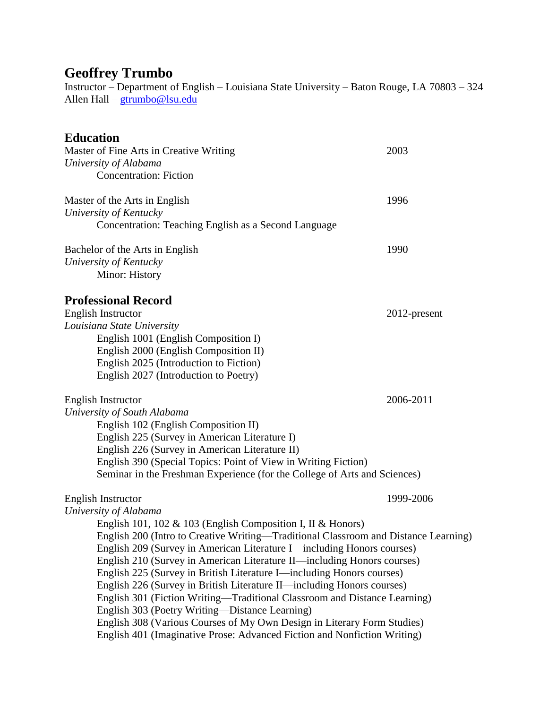# **Geoffrey Trumbo**

Instructor – Department of English – Louisiana State University – Baton Rouge, LA 70803 – 324 Allen Hall – [gtrumbo@lsu.edu](mailto:gtrumbo@lsu.edu)

## **Education**

| Master of Fine Arts in Creative Writing                                                                                                         | 2003         |
|-------------------------------------------------------------------------------------------------------------------------------------------------|--------------|
| University of Alabama                                                                                                                           |              |
| <b>Concentration: Fiction</b>                                                                                                                   |              |
| Master of the Arts in English                                                                                                                   | 1996         |
| University of Kentucky                                                                                                                          |              |
| Concentration: Teaching English as a Second Language                                                                                            |              |
| Bachelor of the Arts in English                                                                                                                 | 1990         |
| University of Kentucky                                                                                                                          |              |
| Minor: History                                                                                                                                  |              |
| <b>Professional Record</b>                                                                                                                      |              |
| <b>English Instructor</b>                                                                                                                       | 2012-present |
| Louisiana State University                                                                                                                      |              |
| English 1001 (English Composition I)                                                                                                            |              |
| English 2000 (English Composition II)                                                                                                           |              |
| English 2025 (Introduction to Fiction)                                                                                                          |              |
| English 2027 (Introduction to Poetry)                                                                                                           |              |
| <b>English Instructor</b>                                                                                                                       | 2006-2011    |
| University of South Alabama                                                                                                                     |              |
| English 102 (English Composition II)                                                                                                            |              |
| English 225 (Survey in American Literature I)                                                                                                   |              |
| English 226 (Survey in American Literature II)                                                                                                  |              |
| English 390 (Special Topics: Point of View in Writing Fiction)                                                                                  |              |
| Seminar in the Freshman Experience (for the College of Arts and Sciences)                                                                       |              |
| English Instructor                                                                                                                              | 1999-2006    |
| University of Alabama                                                                                                                           |              |
| English 101, 102 & 103 (English Composition I, II & Honors)                                                                                     |              |
| English 200 (Intro to Creative Writing-Traditional Classroom and Distance Learning)                                                             |              |
| English 209 (Survey in American Literature I—including Honors courses)                                                                          |              |
| English 210 (Survey in American Literature II—including Honors courses)                                                                         |              |
| English 225 (Survey in British Literature I—including Honors courses)<br>English 226 (Survey in British Literature II—including Honors courses) |              |
| English 301 (Fiction Writing-Traditional Classroom and Distance Learning)                                                                       |              |
| English 303 (Poetry Writing—Distance Learning)                                                                                                  |              |
| English 308 (Various Courses of My Own Design in Literary Form Studies)                                                                         |              |
| English 401 (Imaginative Prose: Advanced Fiction and Nonfiction Writing)                                                                        |              |
|                                                                                                                                                 |              |